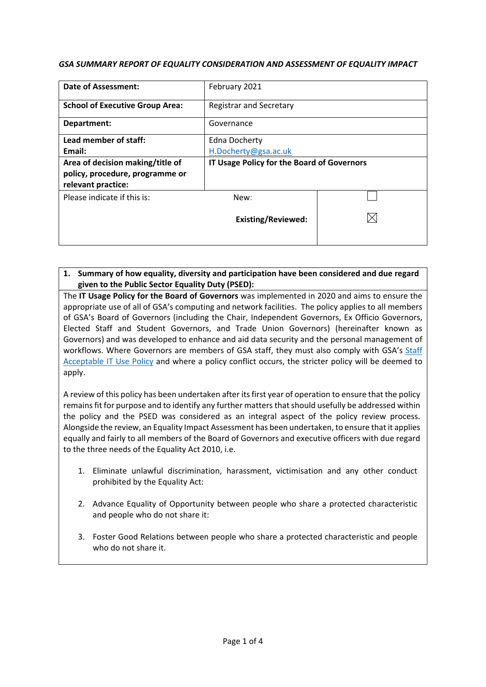#### *GSA SUMMARY REPORT OF EQUALITY CONSIDERATION AND ASSESSMENT OF EQUALITY IMPACT*

| Date of Assessment:                                   | February 2021                              |  |
|-------------------------------------------------------|--------------------------------------------|--|
| <b>School of Executive Group Area:</b>                | <b>Registrar and Secretary</b>             |  |
| Department:                                           | Governance                                 |  |
| Lead member of staff:                                 | Edna Docherty                              |  |
| Email:                                                | H.Docherty@gsa.ac.uk                       |  |
| Area of decision making/title of                      | IT Usage Policy for the Board of Governors |  |
| policy, procedure, programme or<br>relevant practice: |                                            |  |
| Please indicate if this is:                           | New:                                       |  |
|                                                       | <b>Existing/Reviewed:</b>                  |  |

## **1. Summary of how equality, diversity and participation have been considered and due regard given to the Public Sector Equality Duty (PSED):**

The **IT Usage Policy for the Board of Governors** was implemented in 2020 and aims to ensure the appropriate use of all of GSA's computing and network facilities. The policy applies to all members of GSA's Board of Governors (including the Chair, Independent Governors, Ex Officio Governors, Elected Staff and Student Governors, and Trade Union Governors) (hereinafter known as Governors) and was developed to enhance and aid data security and the personal management of workflows. Where Governors are members of GSA staff, they must also comply with GSA's Staff [Acceptable IT Use Policy](http://www.gsa.ac.uk/media/1319583/gsa-staff-acceptable-it-use-policy-2016-final.pdf) [a](http://www.gsa.ac.uk/media/1319583/gsa-staff-acceptable-it-use-policy-2016-final.pdf)nd where a policy conflict occurs, the stricter policy will be deemed to apply.

A review of this policy has been undertaken after its first year of operation to ensure that the policy remains fit for purpose and to identify any further matters that should usefully be addressed within the policy and the PSED was considered as an integral aspect of the policy review process. Alongside the review, an Equality Impact Assessment has been undertaken, to ensure that it applies equally and fairly to all members of the Board of Governors and executive officers with due regard to the three needs of the Equality Act 2010, i.e.

- 1. Eliminate unlawful discrimination, harassment, victimisation and any other conduct prohibited by the Equality Act:
- 2. Advance Equality of Opportunity between people who share a protected characteristic and people who do not share it:
- 3. Foster Good Relations between people who share a protected characteristic and people who do not share it.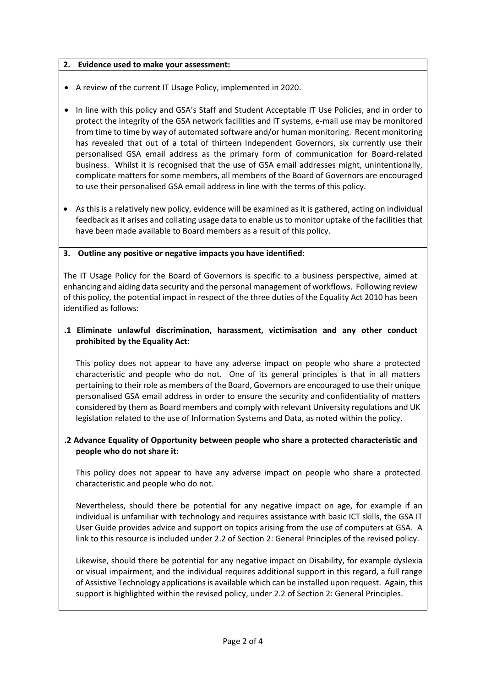## **2. Evidence used to make your assessment:**

• A review of the current IT Usage Policy, implemented in 2020.

- In line with this policy and GSA's Staff and Student Acceptable IT Use Policies, and in order to protect the integrity of the GSA network facilities and IT systems, e-mail use may be monitored from time to time by way of automated software and/or human monitoring. Recent monitoring has revealed that out of a total of thirteen Independent Governors, six currently use their personalised GSA email address as the primary form of communication for Board-related business. Whilst it is recognised that the use of GSA email addresses might, unintentionally, complicate matters for some members, all members of the Board of Governors are encouraged to use their personalised GSA email address in line with the terms of this policy.
- As this is a relatively new policy, evidence will be examined as it is gathered, acting on individual feedback as it arises and collating usage data to enable us to monitor uptake of the facilities that have been made available to Board members as a result of this policy.

# **3. Outline any positive or negative impacts you have identified:**

The IT Usage Policy for the Board of Governors is specific to a business perspective, aimed at enhancing and aiding data security and the personal management of workflows. Following review of this policy, the potential impact in respect of the three duties of the Equality Act 2010 has been identified as follows:

# **.1 Eliminate unlawful discrimination, harassment, victimisation and any other conduct prohibited by the Equality Act**:

This policy does not appear to have any adverse impact on people who share a protected characteristic and people who do not. One of its general principles is that in all matters pertaining to their role as members of the Board, Governors are encouraged to use their unique personalised GSA email address in order to ensure the security and confidentiality of matters considered by them as Board members and comply with relevant University regulations and UK legislation related to the use of Information Systems and Data, as noted within the policy.

# **.2 Advance Equality of Opportunity between people who share a protected characteristic and people who do not share it:**

This policy does not appear to have any adverse impact on people who share a protected characteristic and people who do not.

Nevertheless, should there be potential for any negative impact on age, for example if an individual is unfamiliar with technology and requires assistance with basic ICT skills, the GSA IT User Guide provides advice and support on topics arising from the use of computers at GSA. A link to this resource is included under 2.2 of Section 2: General Principles of the revised policy.

Likewise, should there be potential for any negative impact on Disability, for example dyslexia or visual impairment, and the individual requires additional support in this regard, a full range of Assistive Technology applications is available which can be installed upon request. Again, this support is highlighted within the revised policy, under 2.2 of Section 2: General Principles.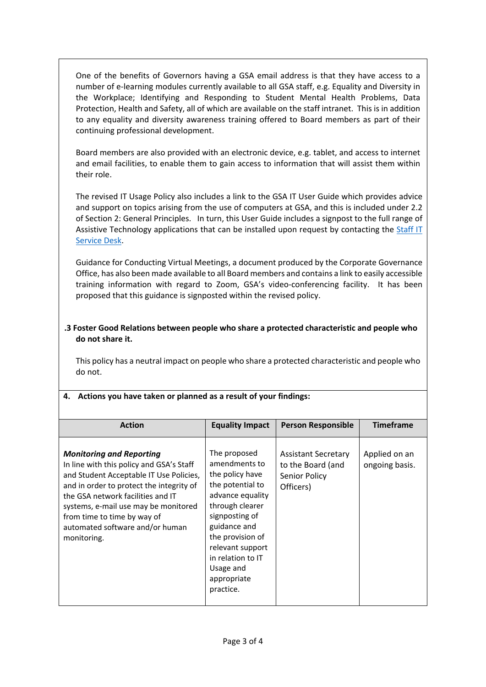One of the benefits of Governors having a GSA email address is that they have access to a number of e-learning modules currently available to all GSA staff, e.g. Equality and Diversity in the Workplace; Identifying and Responding to Student Mental Health Problems, Data Protection, Health and Safety, all of which are available on the staff intranet. This is in addition to any equality and diversity awareness training offered to Board members as part of their continuing professional development.

Board members are also provided with an electronic device, e.g. tablet, and access to internet and email facilities, to enable them to gain access to information that will assist them within their role.

The revised IT Usage Policy also includes a link to the GSA IT User Guide which provides advice and support on topics arising from the use of computers at GSA, and this is included under 2.2 of Section 2: General Principles. In turn, this User Guide includes a signpost to the full range of Assistive Technology applications that can be installed upon request by contacting the Staff IT [Service Desk.](https://gsaitservicedesk.sysaidit.com/)

Guidance for Conducting Virtual Meetings, a document produced by the Corporate Governance Office, has also been made available to all Board members and contains a link to easily accessible training information with regard to Zoom, GSA's video-conferencing facility. It has been proposed that this guidance is signposted within the revised policy.

# **.3 Foster Good Relations between people who share a protected characteristic and people who do not share it.**

This policy has a neutral impact on people who share a protected characteristic and people who do not.

| <b>Action</b>                                                                                                                                                                                                                                                                                                                    | <b>Equality Impact</b>                                                                                                                                                                                                                              | <b>Person Responsible</b>                                                     | <b>Timeframe</b>                |
|----------------------------------------------------------------------------------------------------------------------------------------------------------------------------------------------------------------------------------------------------------------------------------------------------------------------------------|-----------------------------------------------------------------------------------------------------------------------------------------------------------------------------------------------------------------------------------------------------|-------------------------------------------------------------------------------|---------------------------------|
| <b>Monitoring and Reporting</b><br>In line with this policy and GSA's Staff<br>and Student Acceptable IT Use Policies,<br>and in order to protect the integrity of<br>the GSA network facilities and IT<br>systems, e-mail use may be monitored<br>from time to time by way of<br>automated software and/or human<br>monitoring. | The proposed<br>amendments to<br>the policy have<br>the potential to<br>advance equality<br>through clearer<br>signposting of<br>guidance and<br>the provision of<br>relevant support<br>in relation to IT<br>Usage and<br>appropriate<br>practice. | <b>Assistant Secretary</b><br>to the Board (and<br>Senior Policy<br>Officers) | Applied on an<br>ongoing basis. |

# **4. Actions you have taken or planned as a result of your findings:**